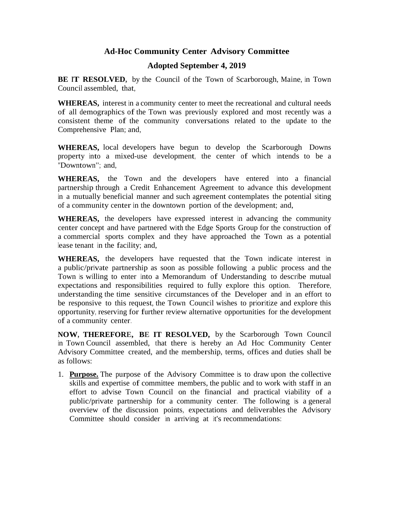## **Ad-Hoc Community Center Advisory Committee**

## **Adopted September 4, 2019**

**BE IT RESOLVED,** by the Council of the Town of Scarborough, Maine, in Town Council assembled, that,

**WHEREAS,** interest in a community center to meet the recreational and cultural needs of all demographics of the Town was previously explored and most recently was a consistent theme of the community conversations related to the update to the Comprehensive Plan; and,

**WHEREAS,** local developers have begun to develop the Scarborough Downs property into a mixed-use development, the center of which intends to be a "Downtown"; and,

**WHEREAS,** the Town and the developers have entered into a financial partnership through a Credit Enhancement Agreement to advance this development in a mutually beneficial manner and such agreement contemplates the potential siting of a community center in the downtown portion of the development; and,

**WHEREAS,** the developers have expressed interest in advancing the community center concept and have partnered with the Edge Sports Group for the construction of a commercial sports complex and they have approached the Town as a potential lease tenant in the facility; and,

**WHEREAS,** the developers have requested that the Town indicate interest in a public/private partnership as soon as possible following a public process and the Town is willing to enter into a Memorandum of Understanding to describe mutual expectations and responsibilities required to fully explore this option. Therefore, understanding the time sensitive circumstances of the Developer and in an effort to be responsive to this request, the Town Council wishes to prioritize and explore this opportunity, reserving for further review alternative opportunities for the development of a community center.

**NOW, THEREFORE, BE IT RESOLVED,** by the Scarborough Town Council in Town Council assembled, that there is hereby an Ad Hoc Community Center Advisory Committee created, and the membership, terms, offices and duties shall be as follows:

1. **Purpose.** The purpose of the Advisory Committee is to draw upon the collective skills and expertise of committee members, the public and to work with staff in an effort to advise Town Council on the financial and practical viability of a public/private partnership for a community center. The following is a general overview of the discussion points, expectations and deliverables the Advisory Committee should consider in arriving at it's recommendations: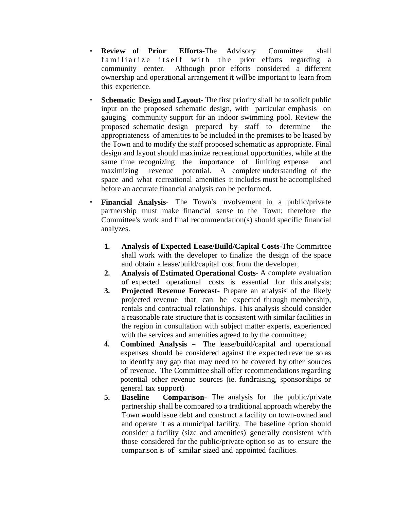- **Review of Prior Efforts-**The Advisory Committee shall familiarize itself with the prior efforts regarding a community center. Although prior efforts considered a different ownership and operational arrangement it will be important to learn from this experience.
- **Schematic Design and Layout-** The first priority shall be to solicit public input on the proposed schematic design, with particular emphasis on gauging community support for an indoor swimming pool. Review the proposed schematic design prepared by staff to determine the appropriateness of amenities to be included in the premises to be leased by the Town and to modify the staff proposed schematic as appropriate. Final design and layout should maximize recreational opportunities, while at the same time recognizing the importance of limiting expense and maximizing revenue potential. A complete understanding of the space and what recreational amenities it includes must be accomplished before an accurate financial analysis can be performed.
- **Financial Analysis-** The Town's involvement in a public/private partnership must make financial sense to the Town; therefore the Committee's work and final recommendation(s) should specific financial analyzes.
	- **1. Analysis of Expected Lease/Build/Capital Costs-**The Committee shall work with the developer to finalize the design of the space and obtain a lease/build/capital cost from the developer;
	- **2. Analysis of Estimated Operational Costs-** A complete evaluation of expected operational costs is essential for this analysis;
	- **3. Projected Revenue Forecast-** Prepare an analysis of the likely projected revenue that can be expected through membership, rentals and contractual relationships. This analysis should consider a reasonable rate structure that is consistent with similar facilities in the region in consultation with subject matter experts, experienced with the services and amenities agreed to by the committee;
	- **4. Combined Analysis -** The lease/build/capital and operational expenses should be considered against the expected revenue so as to identify any gap that may need to be covered by other sources of revenue. The Committee shall offer recommendations regarding potential other revenue sources (ie. fundraising, sponsorships or general tax support).
	- **5. Baseline Comparison-** The analysis for the public/private partnership shall be compared to a traditional approach whereby the Town would issue debt and construct a facility on town-owned land and operate it as a municipal facility. The baseline option should consider a facility (size and amenities) generally consistent with those considered for the public/private option so as to ensure the comparison is of similar sized and appointed facilities.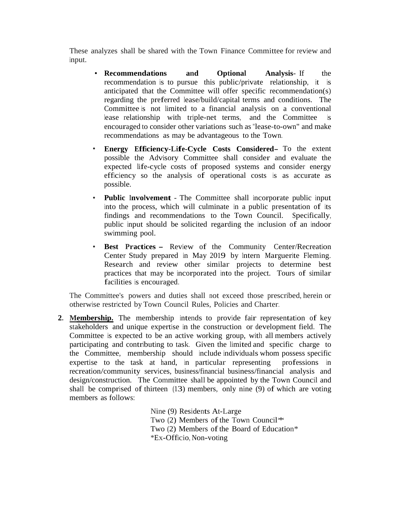These analyzes shall be shared with the Town Finance Committee for review and input.

- **Recommendations and Optional Analysis** If the recommendation is to pursue this public/private relationship, it is anticipated that the Committee will offer specific recommendation(s) regarding the preferred lease/build/capital terms and conditions. The Committee is not limited to a financial analysis on a conventional lease relationship with triple-net terms, and the Committee is encouraged to consider other variations such as "lease-to-own" and make recommendations as may be advantageous to the Town.
- **Energy Efficiency-Life-Cycle Costs Considered-** To the extent possible the Advisory Committee shall consider and evaluate the expected life-cycle costs of proposed systems and consider energy efficiency so the analysis of operational costs is as accurate as possible.
- **Public Involvement -** The Committee shall incorporate public input into the process, which will culminate in a public presentation of its findings and recommendations to the Town Council. Specifically, public input should be solicited regarding the inclusion of an indoor swimming pool.
- **Best Practices -** Review of the Community Center/Recreation Center Study prepared in May 2019 by Intern Marguerite Fleming. Research and review other similar projects to determine best practices that may be incorporated into the project. Tours of similar facilities is encouraged.

The Committee's powers and duties shall not exceed those prescribed, herein or otherwise restricted by Town Council Rules, Policies and Charter.

**2. Membership.** The membership intends to provide fair representation of key stakeholders and unique expertise in the construction or development field. The Committee is expected to be an active working group, with all members actively participating and contributing to task. Given the limited and specific charge to the Committee, membership should include individuals whom possess specific expertise to the task at hand, in particular representing professions in recreation/community services, business/financial business/financial analysis and design/construction. The Committee shall be appointed by the Town Council and shall be comprised of thirteen (13) members, only nine (9) of which are voting members as follows:

> Nine (9) Residents At-Large Two (2) Members of the Town Council<sup> $*$ </sup> Two  $(2)$  Members of the Board of Education\* \*Ex-Officio, Non-voting